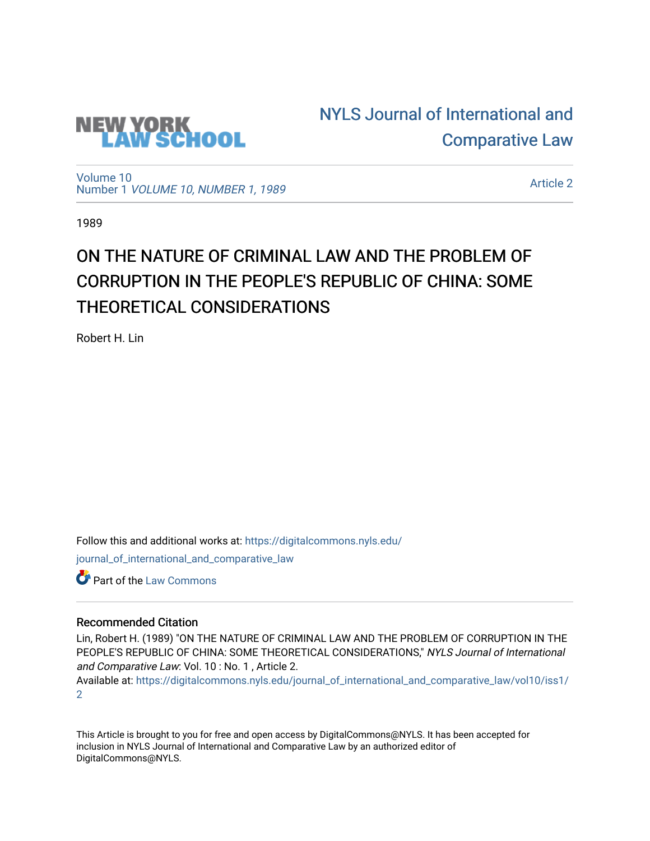

[NYLS Journal of International and](https://digitalcommons.nyls.edu/journal_of_international_and_comparative_law)  [Comparative Law](https://digitalcommons.nyls.edu/journal_of_international_and_comparative_law) 

[Volume 10](https://digitalcommons.nyls.edu/journal_of_international_and_comparative_law/vol10) Number 1 [VOLUME 10, NUMBER 1, 1989](https://digitalcommons.nyls.edu/journal_of_international_and_comparative_law/vol10/iss1) 

[Article 2](https://digitalcommons.nyls.edu/journal_of_international_and_comparative_law/vol10/iss1/2) 

1989

# ON THE NATURE OF CRIMINAL LAW AND THE PROBLEM OF CORRUPTION IN THE PEOPLE'S REPUBLIC OF CHINA: SOME THEORETICAL CONSIDERATIONS

Robert H. Lin

Follow this and additional works at: [https://digitalcommons.nyls.edu/](https://digitalcommons.nyls.edu/journal_of_international_and_comparative_law?utm_source=digitalcommons.nyls.edu%2Fjournal_of_international_and_comparative_law%2Fvol10%2Fiss1%2F2&utm_medium=PDF&utm_campaign=PDFCoverPages)

[journal\\_of\\_international\\_and\\_comparative\\_law](https://digitalcommons.nyls.edu/journal_of_international_and_comparative_law?utm_source=digitalcommons.nyls.edu%2Fjournal_of_international_and_comparative_law%2Fvol10%2Fiss1%2F2&utm_medium=PDF&utm_campaign=PDFCoverPages) 

Part of the [Law Commons](http://network.bepress.com/hgg/discipline/578?utm_source=digitalcommons.nyls.edu%2Fjournal_of_international_and_comparative_law%2Fvol10%2Fiss1%2F2&utm_medium=PDF&utm_campaign=PDFCoverPages)

## Recommended Citation

Lin, Robert H. (1989) "ON THE NATURE OF CRIMINAL LAW AND THE PROBLEM OF CORRUPTION IN THE PEOPLE'S REPUBLIC OF CHINA: SOME THEORETICAL CONSIDERATIONS," NYLS Journal of International and Comparative Law: Vol. 10 : No. 1 , Article 2.

Available at: [https://digitalcommons.nyls.edu/journal\\_of\\_international\\_and\\_comparative\\_law/vol10/iss1/](https://digitalcommons.nyls.edu/journal_of_international_and_comparative_law/vol10/iss1/2?utm_source=digitalcommons.nyls.edu%2Fjournal_of_international_and_comparative_law%2Fvol10%2Fiss1%2F2&utm_medium=PDF&utm_campaign=PDFCoverPages) [2](https://digitalcommons.nyls.edu/journal_of_international_and_comparative_law/vol10/iss1/2?utm_source=digitalcommons.nyls.edu%2Fjournal_of_international_and_comparative_law%2Fvol10%2Fiss1%2F2&utm_medium=PDF&utm_campaign=PDFCoverPages) 

This Article is brought to you for free and open access by DigitalCommons@NYLS. It has been accepted for inclusion in NYLS Journal of International and Comparative Law by an authorized editor of DigitalCommons@NYLS.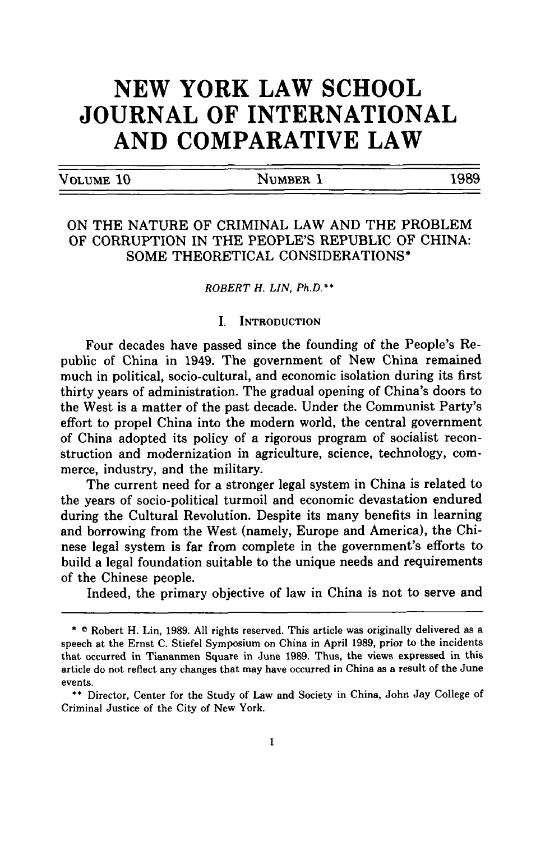## **NEW YORK LAW SCHOOL JOURNAL OF INTERNATIONAL AND COMPARATIVE LAW**

**VOLUME 10** NUMBER **1 1989**

## ON THE NATURE OF CRIMINAL LAW AND THE PROBLEM OF CORRUPTION IN THE PEOPLE'S REPUBLIC OF CHINA: SOME THEORETICAL CONSIDERATIONS\*

#### *ROBERT H. LIN, Ph.D.\*\**

### I. **INTRODUCTION**

Four decades have passed since the founding of the People's Republic of China in 1949. The government of New China remained much in political, socio-cultural, and economic isolation during its first thirty years of administration. The gradual opening of China's doors to the West is a matter of the past decade. Under the Communist Party's effort to propel China into the modern world, the central government of China adopted its policy of a rigorous program of socialist reconstruction and modernization in agriculture, science, technology, commerce, industry, and the military.

The current need for a stronger legal system in China is related to the years of socio-political turmoil and economic devastation endured during the Cultural Revolution. Despite its many benefits in learning and borrowing from the West (namely, Europe and America), the Chinese legal system is far from complete in the government's efforts to build a legal foundation suitable to the unique needs and requirements of the Chinese people.

Indeed, the primary objective of law in China is not to serve and

<sup>\*</sup> C Robert H. Lin, 1989. All rights reserved. This article was originally delivered as a speech at the Ernst C. Stiefel Symposium on China in April 1989, prior to the incidents that occurred in Tiananmen Square in June **1989.** Thus, the views expressed in this article do not reflect any changes that may have occurred in China as a result of the June events.

<sup>\*\*</sup> Director, Center for the Study of Law and Society in China, John Jay College of Criminal Justice of the City of New York.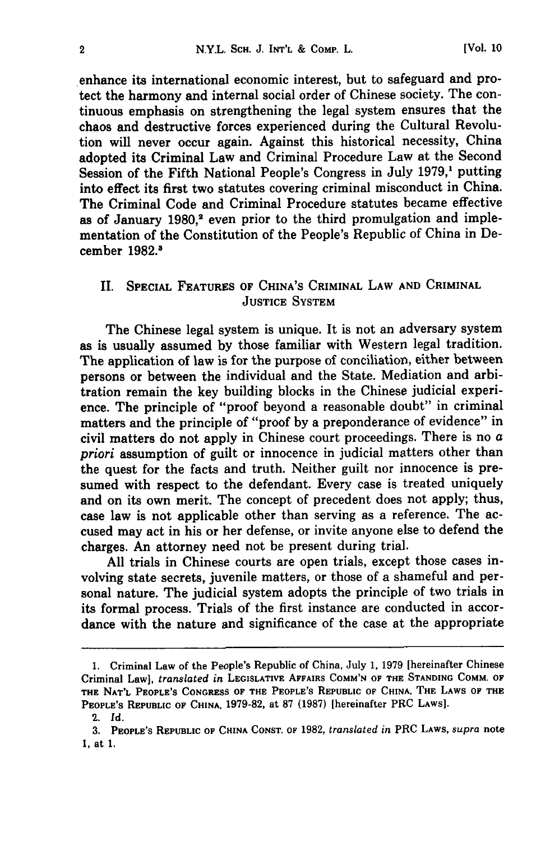enhance its international economic interest, but to safeguard and protect the harmony and internal social order of Chinese society. The continuous emphasis on strengthening the legal system ensures that the chaos and destructive forces experienced during the Cultural Revolution will never occur again. Against this historical necessity, China adopted its Criminal Law and Criminal Procedure Law at the Second Session of the Fifth National People's Congress in July **1979,'** putting into effect its first two statutes covering criminal misconduct in China. The Criminal Code and Criminal Procedure statutes became effective as of January 1980,<sup>2</sup> even prior to the third promulgation and implementation of the Constitution of the People's Republic of China in December **1982.1**

## II. SPECIAL **FEATURES** OF CHINA'S CRIMINAL LAW **AND** CRIMINAL **JUSTICE** SYSTEM

The Chinese legal system is unique. It is not an adversary system as is usually assumed **by** those familiar with Western legal tradition. The application of law is for the purpose of conciliation, either between persons or between the individual and the State. Mediation and arbitration remain the key building blocks in the Chinese judicial experience. The principle of "proof beyond a reasonable doubt" in criminal matters and the principle of "proof **by** a preponderance of evidence" in civil matters do not apply in Chinese court proceedings. There is no  $a$ *priori* assumption of guilt or innocence in judicial matters other than the quest for the facts and truth. Neither guilt nor innocence is presumed with respect to the defendant. Every case is treated uniquely and on its own merit. The concept of precedent does not apply; thus, case law is not applicable other than serving as a reference. The accused may act in his or her defense, or invite anyone else to defend the charges. An attorney need not be present during trial.

**All** trials in Chinese courts are open trials, except those cases involving state secrets, juvenile matters, or those of a shameful and personal nature. The judicial system adopts the principle of two trials in its formal process. Trials of the first instance are conducted in accordance with the nature and significance of the case at the appropriate

**<sup>1.</sup>** Criminal Law of the People's Republic of China, July **1, 1979** [hereinafter Chinese Criminal Law], *translated in* **LEGISLATIVE** AFFAIRS **COMM'N OF THE STANDING COMM. OF THE NAT'L PEOPLE'S CONGRESS OF THE PEOPLE'S REPUBLIC OF CHINA, THE** LAWS OF **THE PEOPLE'S REPUBLIC OF CHINA, 1979-82, at 87 (1987) [hereinafter** PRC **LAWS].**

<sup>2.</sup> *Id.*

**<sup>3.</sup> PEOPLE'S REPUBLIC OF CHINA CONST. OF 1982,** *translated in* **PRC LAWS,** *supra* note **1, at 1.**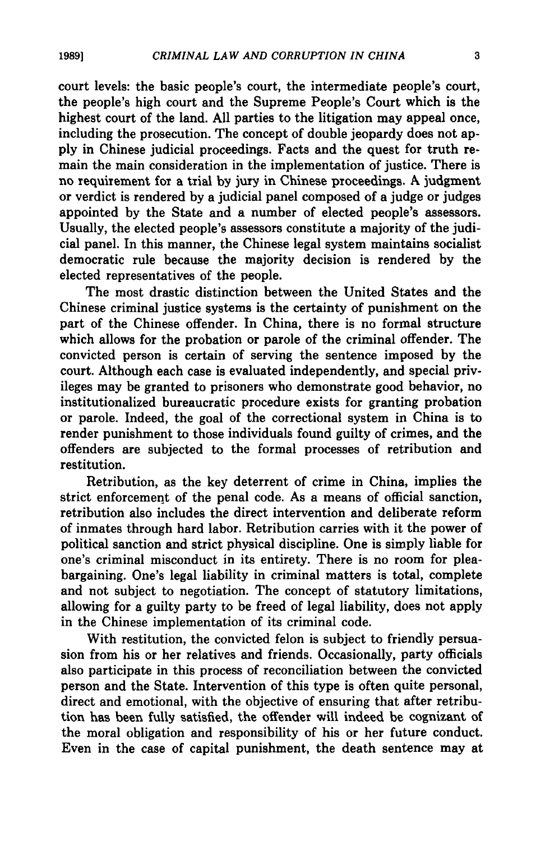court levels: the basic people's court, the intermediate people's court, the people's high court and the Supreme People's Court which is the highest court of the land. **All** parties to the litigation may appeal once, including the prosecution. The concept of double jeopardy does not ap**ply** in Chinese judicial proceedings. Facts and the quest for truth remain the main consideration in the implementation of justice. There is no requirement for a trial by jury in Chinese proceedings. A judgment or verdict is rendered by a judicial panel composed of a judge or judges appointed by the State and a number of elected people's assessors. Usually, the elected people's assessors constitute a majority of the judicial panel. In this manner, the Chinese legal system maintains socialist democratic rule because the majority decision is rendered by the elected representatives of the people.

The most drastic distinction between the United States and the Chinese criminal justice systems is the certainty of punishment on the part of the Chinese offender. In China, there is no formal structure which allows for the probation or parole of the criminal offender. The convicted person is certain of serving the sentence imposed **by** the court. Although each case is evaluated independently, and special privileges may be granted to prisoners who demonstrate good behavior, no institutionalized bureaucratic procedure exists for granting probation or parole. Indeed, the goal of the correctional system in China is to render punishment to those individuals found guilty of crimes, and the offenders are subjected to the formal processes of retribution and restitution.

Retribution, as the key deterrent of crime in China, implies the strict enforcement of the penal code. As a means of official sanction, retribution also includes the direct intervention and deliberate reform of inmates through hard labor. Retribution carries with it the power of political sanction and strict physical discipline. One is simply liable for one's criminal misconduct in its entirety. There is no room for pleabargaining. One's legal liability in criminal matters is total, complete and not subject to negotiation. The concept of statutory limitations, allowing for a guilty party to be freed of legal liability, does not apply in the Chinese implementation of its criminal code.

With restitution, the convicted felon is subject to friendly persuasion from his or her relatives and friends. Occasionally, party officials also participate in this process of reconciliation between the convicted person and the State. Intervention of this type is often quite personal, direct and emotional, with the objective of ensuring that after retribution has been fully satisfied, the offender will indeed be cognizant **of** the moral obligation and responsibility of his or her future conduct. Even in the case of capital punishment, the death sentence may at

**1989]**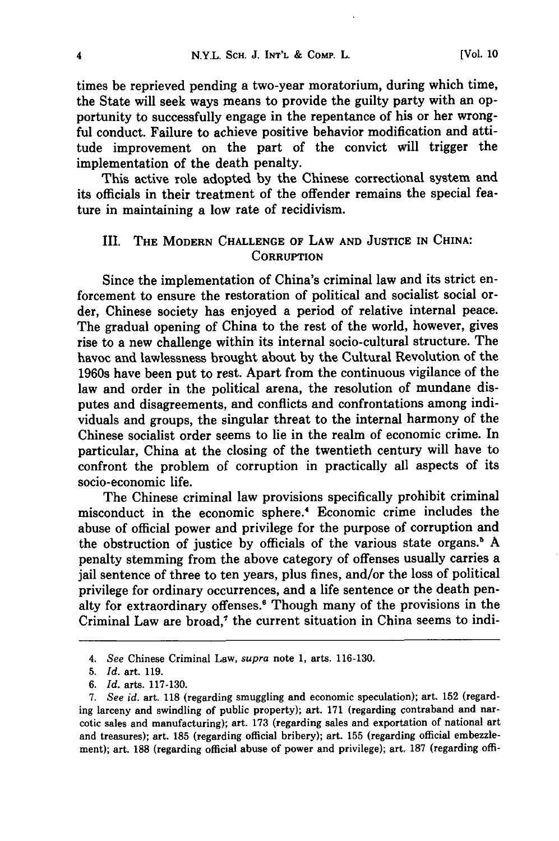times be reprieved pending a two-year moratorium, during which time, the State will seek ways means to provide the guilty party with an opportunity to successfully engage in the repentance of his or her wrongful conduct. Failure to achieve positive behavior modification and attitude improvement on the part of the convict will trigger the implementation of the death penalty.

This active role adopted by the Chinese correctional system and its officials in their treatment of the offender remains the special feature in maintaining a low rate of recidivism.

## III. THE MODERN **CHALLENGE OF** LAW **AND JUSTICE IN CHINA: CORRUPTION**

Since the implementation of China's criminal law and its strict enforcement to ensure the restoration of political and socialist social order, Chinese society has enjoyed a period of relative internal peace. The gradual opening of China to the rest of the world, however, gives rise to a new challenge within its internal socio-cultural structure. The havoc and lawlessness brought about by the Cultural Revolution of the 1960s have been put to rest. Apart from the continuous vigilance of the law and order in the political arena, the resolution of mundane disputes and disagreements, and conflicts and confrontations among individuals and groups, the singular threat to the internal harmony of the Chinese socialist order seems to lie in the realm of economic crime. In particular, China at the closing of the twentieth century will have to confront the problem of corruption in practically all aspects of its socio-economic life.

The Chinese criminal law provisions specifically prohibit criminal misconduct in the economic sphere.4 Economic crime includes the abuse of official power and privilege for the purpose of corruption and the obstruction of justice **by** officials of the various state organs.' **A** penalty stemming from the above category of offenses usually carries a jail sentence of three to ten years, plus fines, and/or the loss of political privilege for ordinary occurrences, and a life sentence or the death penalty for extraordinary offenses.6 Though many of the provisions in the Criminal Law are broad,' the current situation in China seems to **indi-**

*<sup>4.</sup> See* Chinese Criminal Law, *supra* note **1,** arts. **116-130.**

**<sup>5.</sup>** *Id.* art. **119.**

*<sup>6.</sup> Id.* arts. **117-130.**

**<sup>7.</sup>** *See id.* art. **118** (regarding smuggling and economic speculation); art. **152** (regarding larceny and swindling of public property); art. **171** (regarding contraband and narcotic sales and manufacturing); art. **173** (regarding sales and exportation of national art and treasures); art. **185** (regarding official bribery); art. **155** (regarding official embezzlement); art. **188** (regarding official abuse of power and privilege); art, **187** (regarding offi-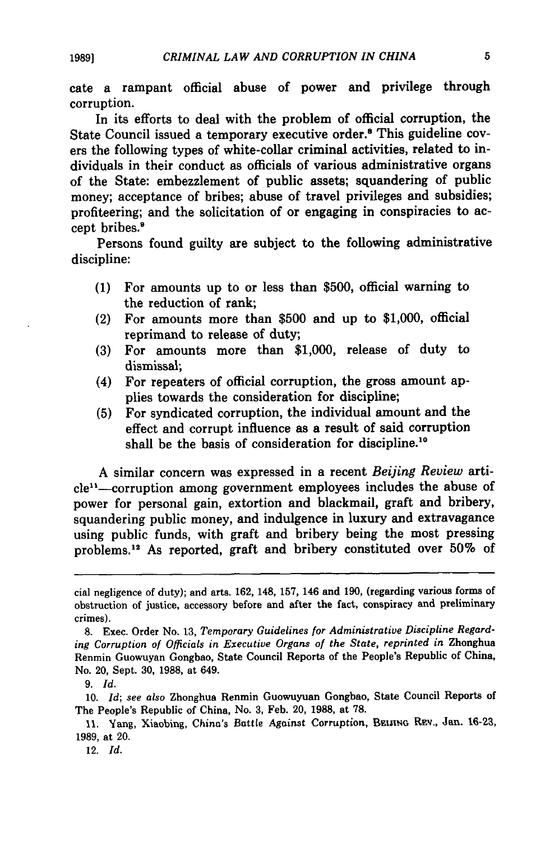cate a rampant official abuse of power and privilege through corruption.

In its efforts to deal with the problem of official corruption, the State Council issued a temporary executive order.8 This guideline covers the following types of white-collar criminal activities, related to individuals in their conduct as officials of various administrative organs of the State: embezzlement of public assets; squandering of public money; acceptance **of** bribes; abuse of travel privileges and subsidies; profiteering; and the solicitation of or engaging in conspiracies to accept bribes.'

Persons found guilty are subject to the following administrative discipline:

- (1) For amounts up to or less than \$500, official warning to the reduction of rank;
- (2) For amounts more than \$500 and up to \$1,000, official reprimand to release of duty;
- **(3)** For amounts more than \$1,000, release of duty to dismissal;
- (4) For repeaters of official corruption, the gross amount applies towards the consideration for discipline;
- **(5)** For syndicated corruption, the individual amount and the effect and corrupt influence as a result of said corruption shall be the basis of consideration for discipline.<sup>10</sup>

**A** similar concern was expressed in a recent *Beijing Review* article"-corruption among government employees includes the abuse of power for personal gain, extortion and blackmail, graft and bribery, squandering public money, and indulgence in luxury and extravagance using public funds, with graft and bribery being the most pressing problems."2 As reported, graft and bribery constituted over **50%** of

**1989]**

cial negligence of duty); and arts. **162,** 148, **157,** 146 and **190,** (regarding various forms of obstruction of justice, accessory before and after the fact, conspiracy and preliminary crimes).

**<sup>8.</sup>** Exec. Order No. **13,** *Temporary Guidelines for Administrative Discipline Regarding Corruption of Officials in Executive Organs of the State, reprinted in* Zhonghua Renmin Guowuyan Gongbao, State Council Reports of the People's Republic of China, No. 20, Sept. **30, 1988,** at 649.

*<sup>9.</sup> Id.*

**<sup>10.</sup>** *Id; see also* Zhonghua Renmin Guowuyuan Gongbao, State Council Reports of The People's Republic of China, No. **3,** Feb. 20, **1988,** at **78.**

<sup>11.</sup> Yang, Xiaobing, China's Battle Against Corruption, BELING REV., Jan. 16-23, **1989,** at 20.

<sup>12.</sup> *Id.*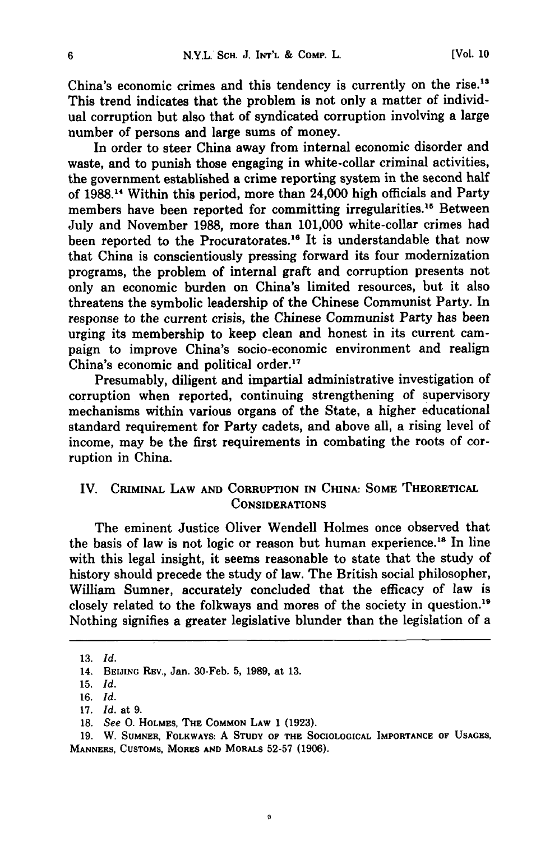China's economic crimes and this tendency is currently on the rise.<sup>13</sup> This trend indicates that the problem is not only a matter of individual corruption but also that of syndicated corruption involving a large number of persons and large sums of money.

In order to steer China away from internal economic disorder and waste, and to punish those engaging in white-collar criminal activities, the government established a crime reporting system in the second half of **1988.14** Within this period, more than 24,000 high officials and Party members have been reported for committing irregularities.<sup>15</sup> Between July and November **1988,** more than 101,000 white-collar crimes had been reported to the Procuratorates.<sup>16</sup> It is understandable that now that China is conscientiously pressing forward its four modernization programs, the problem of internal graft and corruption presents not only an economic burden on China's limited resources, but it also threatens the symbolic leadership of the Chinese Communist Party. In response to the current crisis, the Chinese Communist Party has been urging its membership to keep clean and honest in its current campaign to improve China's socio-economic environment and realign China's economic and political order."

Presumably, diligent and impartial administrative investigation of corruption when reported, continuing strengthening of supervisory mechanisms within various organs of the State, a higher educational standard requirement for Party cadets, and above all, a rising level of income, may be the first requirements in combating the roots of corruption in China.

## IV. CRIMINAL LAW **AND** CORRUPTION IN CHINA: SOME THEORETICAL CONSIDERATIONS

The eminent Justice Oliver Wendell Holmes once observed that the basis of law is not logic or reason but human experience.<sup>18</sup> In line with this legal insight, it seems reasonable to state that the study of history should precede the study of law. The British social philosopher, William Sumner, accurately concluded that the efficacy of law is closely related to the folkways and mores of the society in question." Nothing signifies a greater legislative blunder than the legislation of a

 $6\phantom{a}$ 

**<sup>13.</sup>** *Id.*

**<sup>14.</sup> BEIJING REV.,** Jan. 30-Feb. **5, 1989,** at **13.**

**<sup>15.</sup>** *Id.*

**<sup>16.</sup>** *Id.*

<sup>17.</sup> *Id.* at **9.**

**<sup>18.</sup>** *See* **0. HOLMES, THE COMMON LAW** 1 **(1923).**

**<sup>19.</sup>** W. **SUMNER, FOLKWAYS:** A **STUDY OF THE SOCIOLOGICAL IMPORTANCE OF USAGES, MANNERS, CUSTOMS, MORES AND** MORALS **52-57 (1906).**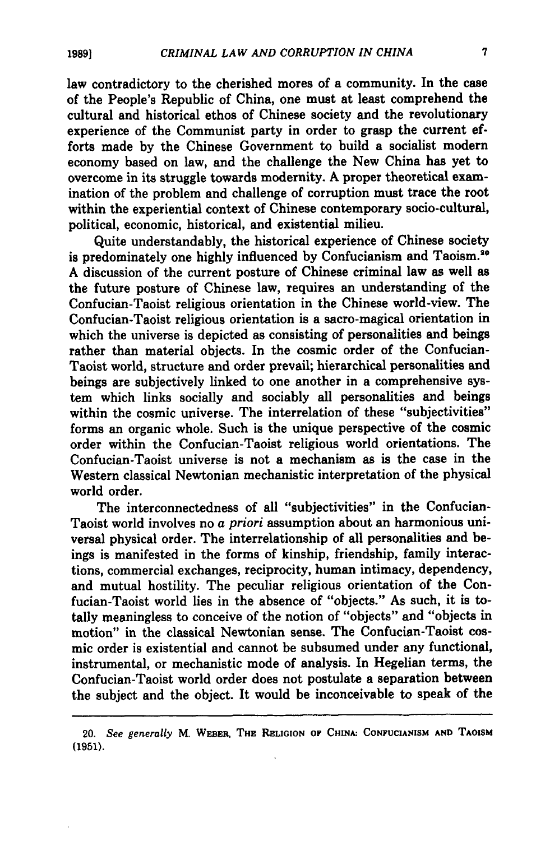law contradictory to the cherished mores of a community. In the case of the People's Republic of China, one must at least comprehend the cultural and historical ethos of Chinese society and the revolutionary experience of the Communist party in order to grasp the current efforts made **by** the Chinese Government to build a socialist modern economy based on law, and the challenge the New China has yet to overcome in its struggle towards modernity. A proper theoretical examination of the problem and challenge of corruption must trace the root within the experiential context of Chinese contemporary socio-cultural, political, economic, historical, and existential milieu.

Quite understandably, the historical experience of Chinese society is predominately one highly influenced by Confucianism and Taoism.<sup>30</sup> A discussion of the current posture of Chinese criminal law as well as the future posture of Chinese law, requires an understanding of the Confucian-Taoist religious orientation in the Chinese world-view. The Confucian-Taoist religious orientation is a sacro-magical orientation in which the universe is depicted as consisting of personalities and beings rather than material objects. In the cosmic order of the Confucian-Taoist world, structure and order prevail; hierarchical personalities and beings are subjectively linked to one another in a comprehensive system which links socially and sociably all personalities and beings within the cosmic universe. The interrelation of these "subjectivities" forms an organic whole. Such is the unique perspective of the cosmic order within the Confucian-Taoist religious world orientations. The Confucian-Taoist universe is not a mechanism as is the case in the Western classical Newtonian mechanistic interpretation of the physical world order.

The interconnectedness of all "subjectivities" in the Confucian-Taoist world involves no a *priori* assumption about an harmonious universal physical order. The interrelationship of all personalities and beings is manifested in the forms of kinship, friendship, family interactions, commercial exchanges, reciprocity, human intimacy, dependency, and mutual hostility. The peculiar religious orientation of the Confucian-Taoist world lies in the absence of "objects." As such, it is totally meaningless to conceive of the notion of "objects" and "objects in motion" in the classical Newtonian sense. The Confucian-Taoist cosmic order is existential and cannot be subsumed under any functional, instrumental, or mechanistic mode of analysis. In Hegelian terms, the Confucian-Taoist world order does not postulate a separation between the subject and the object. It would be inconceivable to speak of the

<sup>20.</sup> *See generally* M. **WEBER, THE RELIGION OF CHINA: CONFUCIANISM AND TAOISM (1951).**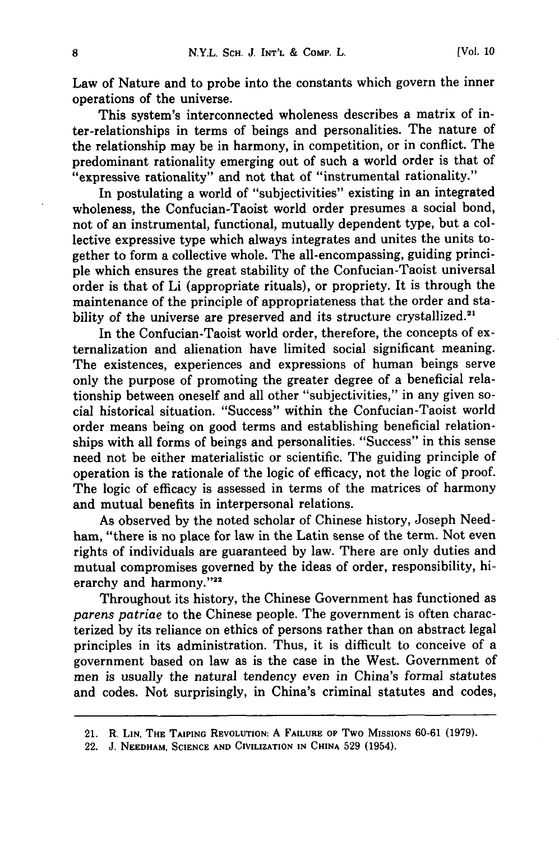Law of Nature and to probe into the constants which govern the inner operations of the universe.

This system's interconnected wholeness describes a matrix of inter-relationships in terms of beings and personalities. The nature of the relationship may be in harmony, in competition, or in conflict. The predominant rationality emerging out of such a world order is that of "expressive rationality" and not that of "instrumental rationality."

In postulating a world of "subjectivities" existing in an integrated wholeness, the Confucian-Taoist world order presumes a social bond, not of an instrumental, functional, mutually dependent type, but a collective expressive type which always integrates and unites the units together to form a collective whole. The all-encompassing, guiding principle which ensures the great stability of the Confucian-Taoist universal order is that of Li (appropriate rituals), or propriety. It is through the maintenance of the principle of appropriateness that the order and stability of the universe are preserved and its structure crystallized.<sup>2</sup>

In the Confucian-Taoist world order, therefore, the concepts of externalization and alienation have limited social significant meaning. The existences, experiences and expressions of human beings serve only the purpose of promoting the greater degree of a beneficial relationship between oneself and all other "subjectivities," in any given social historical situation. "Success" within the Confucian-Taoist world order means being on good terms and establishing beneficial relationships with all forms of beings and personalities. "Success" in this sense need not be either materialistic or scientific. The guiding principle of operation is the rationale of the logic of efficacy, not the logic of proof. The logic of efficacy is assessed in terms of the matrices of harmony and mutual benefits in interpersonal relations.

As observed **by** the noted scholar of Chinese history, Joseph Needham, "there is no place for law in the Latin sense of the term. Not even rights of individuals are guaranteed **by** law. There are only duties and mutual compromises governed **by** the ideas of order, responsibility, hierarchy and harmony."22

Throughout its history, the Chinese Government has functioned as *parens patriae* to the Chinese people. The government is often characterized **by** its reliance on ethics of persons rather than on abstract legal principles in its administration. Thus, it is difficult to conceive of a government based on law as is the case in the West. Government of men is usually the natural tendency even in China's formal statutes and codes. Not surprisingly, in China's criminal statutes and codes,

<sup>21.</sup> R. **LIN, THE TAIPING REVOLUTION:** A **FAILURE** op **Two** MISSIONs 60-61 (1979).

<sup>22.</sup> J. **NEEDHAM, SCIENCE AND** CIVILIZATION **IN CHINA 529** (1954).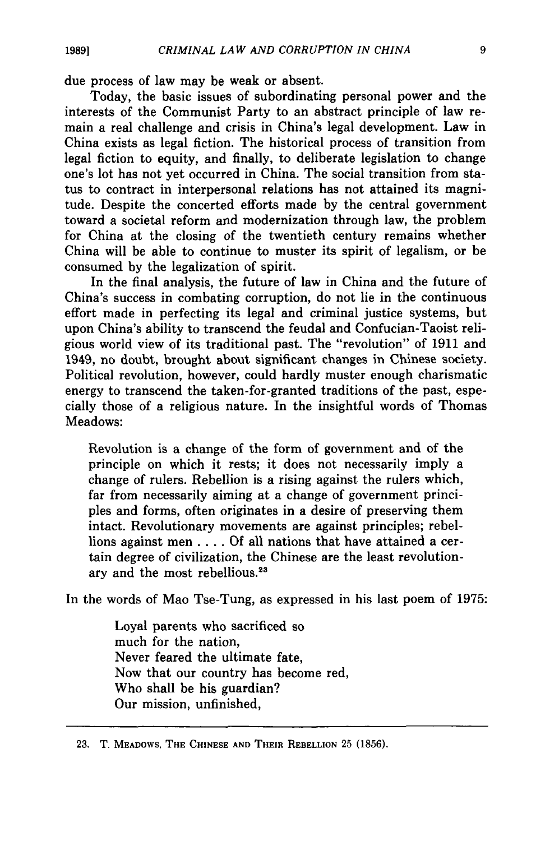due process of law may be weak or absent.

Today, the basic issues of subordinating personal power and the interests of the Communist Party to an abstract principle of law remain a real challenge and crisis in China's legal development. Law in China exists as legal fiction. The historical process of transition from legal fiction to equity, and finally, to deliberate legislation to change one's lot has not yet occurred in China. The social transition from status to contract in interpersonal relations has not attained its magnitude. Despite the concerted efforts made **by** the central government toward a societal reform and modernization through law, the problem for China at the closing of the twentieth century remains whether China will be able to continue to muster its spirit of legalism, or be consumed **by** the legalization of spirit.

In the final analysis, the future of law in China and the future of China's success in combating corruption, do not lie in the continuous effort made in perfecting its legal and criminal justice systems, but upon China's ability to transcend the feudal and Confucian-Taoist religious world view of its traditional past. The "revolution" of **1911** and 1949, no doubt, brought about significant changes in Chinese society. Political revolution, however, could hardly muster enough charismatic energy to transcend the taken-for-granted traditions of the past, especially those of a religious nature. In the insightful words of Thomas Meadows:

Revolution is a change of the form of government and of the principle on which it rests; it does not necessarily imply a change of rulers. Rebellion is a rising against the rulers which, far from necessarily aiming at a change of government principles and forms, often originates in a desire of preserving them intact. Revolutionary movements are against principles; rebellions against men .... Of all nations that have attained a certain degree of civilization, the Chinese are the least revolutionary and the most rebellious.<sup>23</sup>

In the words of Mao Tse-Tung, as expressed in his last poem of 1975:

Loyal parents who sacrificed so much for the nation, Never feared the ultimate fate, Now that our country has become red, Who shall be his guardian? Our mission, unfinished,

<sup>23.</sup> T. MEADOWS, **THE CHINESE AND THEIR** REBELLION 25 **(1856).**